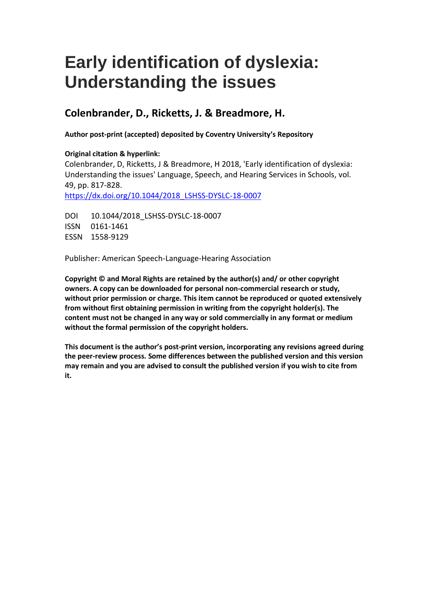# **Early identification of dyslexia: Understanding the issues**

# **Colenbrander, D., Ricketts, J. & Breadmore, H.**

**Author post-print (accepted) deposited by Coventry University's Repository**

# **Original citation & hyperlink:**

Colenbrander, D, Ricketts, J & Breadmore, H 2018, 'Early identification of dyslexia: Understanding the issues' Language, Speech, and Hearing Services in Schools, vol. 49, pp. 817-828. [https://dx.doi.org/10.1044/2018\\_LSHSS-DYSLC-18-0007](https://dx.doi.org/10.1044/2018_LSHSS-DYSLC-18-0007)

DOI 10.1044/2018 LSHSS-DYSLC-18-0007 ISSN 0161-1461 ESSN 1558-9129

Publisher: American Speech-Language-Hearing Association

**Copyright © and Moral Rights are retained by the author(s) and/ or other copyright owners. A copy can be downloaded for personal non-commercial research or study, without prior permission or charge. This item cannot be reproduced or quoted extensively from without first obtaining permission in writing from the copyright holder(s). The content must not be changed in any way or sold commercially in any format or medium without the formal permission of the copyright holders.** 

**This document is the author's post-print version, incorporating any revisions agreed during the peer-review process. Some differences between the published version and this version may remain and you are advised to consult the published version if you wish to cite from it.**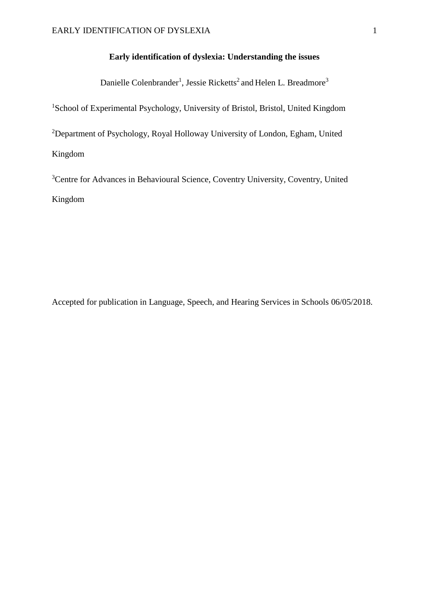# **Early identification of dyslexia: Understanding the issues**

Danielle Colenbrander<sup>1</sup>, Jessie Ricketts<sup>2</sup> and Helen L. Breadmore<sup>3</sup>

<sup>1</sup>School of Experimental Psychology, University of Bristol, Bristol, United Kingdom

<sup>2</sup>Department of Psychology, Royal Holloway University of London, Egham, United Kingdom

<sup>3</sup>Centre for Advances in Behavioural Science, Coventry University, Coventry, United Kingdom

Accepted for publication in Language, Speech, and Hearing Services in Schools 06/05/2018.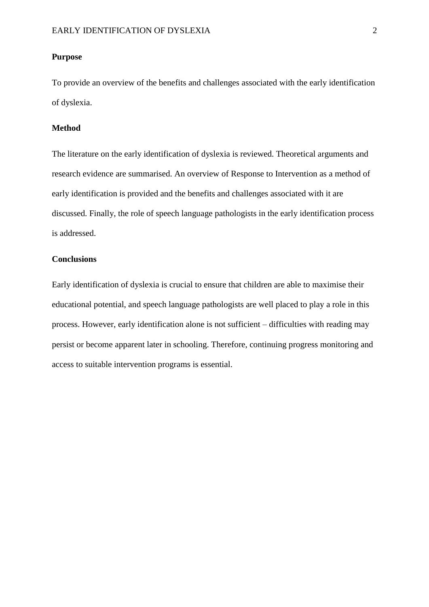## **Purpose**

To provide an overview of the benefits and challenges associated with the early identification of dyslexia.

# **Method**

The literature on the early identification of dyslexia is reviewed. Theoretical arguments and research evidence are summarised. An overview of Response to Intervention as a method of early identification is provided and the benefits and challenges associated with it are discussed. Finally, the role of speech language pathologists in the early identification process is addressed.

# **Conclusions**

Early identification of dyslexia is crucial to ensure that children are able to maximise their educational potential, and speech language pathologists are well placed to play a role in this process. However, early identification alone is not sufficient – difficulties with reading may persist or become apparent later in schooling. Therefore, continuing progress monitoring and access to suitable intervention programs is essential.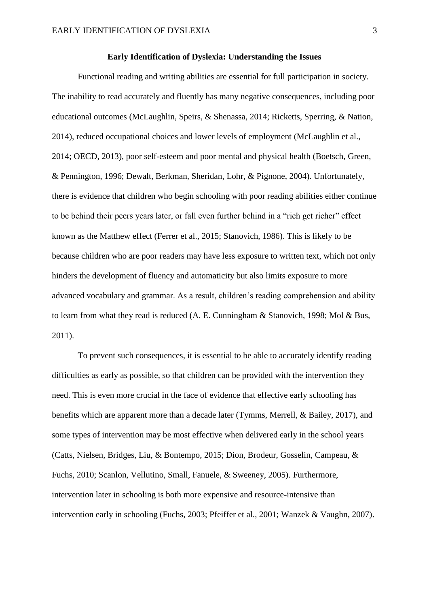# **Early Identification of Dyslexia: Understanding the Issues**

Functional reading and writing abilities are essential for full participation in society. The inability to read accurately and fluently has many negative consequences, including poor educational outcomes (McLaughlin, Speirs, & Shenassa, 2014; Ricketts, Sperring, & Nation, 2014), reduced occupational choices and lower levels of employment (McLaughlin et al., 2014; OECD, 2013), poor self-esteem and poor mental and physical health (Boetsch, Green, & Pennington, 1996; Dewalt, Berkman, Sheridan, Lohr, & Pignone, 2004). Unfortunately, there is evidence that children who begin schooling with poor reading abilities either continue to be behind their peers years later, or fall even further behind in a "rich get richer" effect known as the Matthew effect (Ferrer et al., 2015; Stanovich, 1986). This is likely to be because children who are poor readers may have less exposure to written text, which not only hinders the development of fluency and automaticity but also limits exposure to more advanced vocabulary and grammar. As a result, children's reading comprehension and ability to learn from what they read is reduced (A. E. Cunningham & Stanovich, 1998; Mol & Bus, 2011).

To prevent such consequences, it is essential to be able to accurately identify reading difficulties as early as possible, so that children can be provided with the intervention they need. This is even more crucial in the face of evidence that effective early schooling has benefits which are apparent more than a decade later (Tymms, Merrell, & Bailey, 2017), and some types of intervention may be most effective when delivered early in the school years (Catts, Nielsen, Bridges, Liu, & Bontempo, 2015; Dion, Brodeur, Gosselin, Campeau, & Fuchs, 2010; Scanlon, Vellutino, Small, Fanuele, & Sweeney, 2005). Furthermore, intervention later in schooling is both more expensive and resource-intensive than intervention early in schooling (Fuchs, 2003; Pfeiffer et al., 2001; Wanzek & Vaughn, 2007).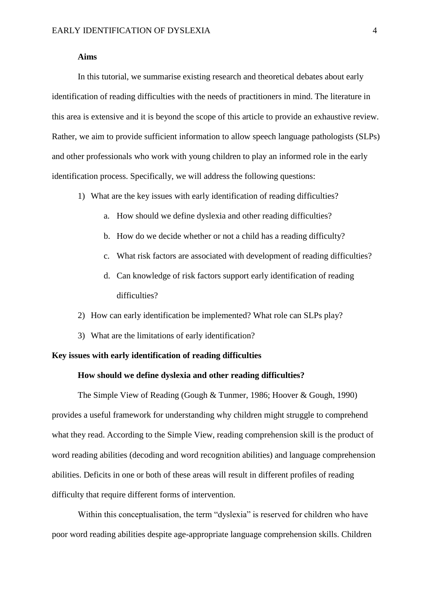# **Aims**

In this tutorial, we summarise existing research and theoretical debates about early identification of reading difficulties with the needs of practitioners in mind. The literature in this area is extensive and it is beyond the scope of this article to provide an exhaustive review. Rather, we aim to provide sufficient information to allow speech language pathologists (SLPs) and other professionals who work with young children to play an informed role in the early identification process. Specifically, we will address the following questions:

- 1) What are the key issues with early identification of reading difficulties?
	- a. How should we define dyslexia and other reading difficulties?
	- b. How do we decide whether or not a child has a reading difficulty?
	- c. What risk factors are associated with development of reading difficulties?
	- d. Can knowledge of risk factors support early identification of reading difficulties?
- 2) How can early identification be implemented? What role can SLPs play?
- 3) What are the limitations of early identification?

# **Key issues with early identification of reading difficulties**

# **How should we define dyslexia and other reading difficulties?**

The Simple View of Reading (Gough & Tunmer, 1986; Hoover & Gough, 1990) provides a useful framework for understanding why children might struggle to comprehend what they read. According to the Simple View, reading comprehension skill is the product of word reading abilities (decoding and word recognition abilities) and language comprehension abilities. Deficits in one or both of these areas will result in different profiles of reading difficulty that require different forms of intervention.

Within this conceptualisation, the term "dyslexia" is reserved for children who have poor word reading abilities despite age-appropriate language comprehension skills. Children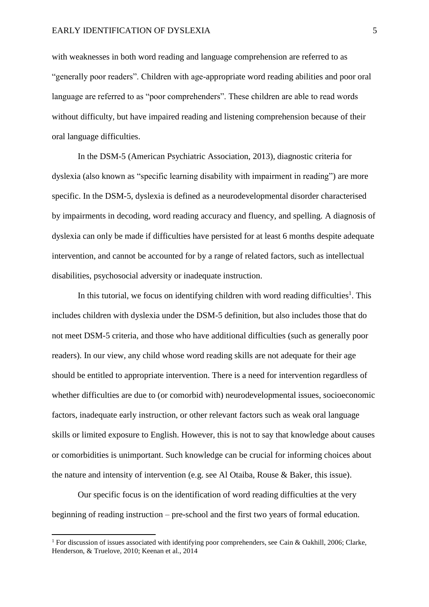with weaknesses in both word reading and language comprehension are referred to as "generally poor readers". Children with age-appropriate word reading abilities and poor oral language are referred to as "poor comprehenders". These children are able to read words without difficulty, but have impaired reading and listening comprehension because of their oral language difficulties.

In the DSM-5 (American Psychiatric Association, 2013), diagnostic criteria for dyslexia (also known as "specific learning disability with impairment in reading") are more specific. In the DSM-5, dyslexia is defined as a neurodevelopmental disorder characterised by impairments in decoding, word reading accuracy and fluency, and spelling. A diagnosis of dyslexia can only be made if difficulties have persisted for at least 6 months despite adequate intervention, and cannot be accounted for by a range of related factors, such as intellectual disabilities, psychosocial adversity or inadequate instruction.

In this tutorial, we focus on identifying children with word reading difficulties<sup>1</sup>. This includes children with dyslexia under the DSM-5 definition, but also includes those that do not meet DSM-5 criteria, and those who have additional difficulties (such as generally poor readers). In our view, any child whose word reading skills are not adequate for their age should be entitled to appropriate intervention. There is a need for intervention regardless of whether difficulties are due to (or comorbid with) neurodevelopmental issues, socioeconomic factors, inadequate early instruction, or other relevant factors such as weak oral language skills or limited exposure to English. However, this is not to say that knowledge about causes or comorbidities is unimportant. Such knowledge can be crucial for informing choices about the nature and intensity of intervention (e.g. see Al Otaiba, Rouse & Baker, this issue).

Our specific focus is on the identification of word reading difficulties at the very beginning of reading instruction – pre-school and the first two years of formal education.

**.** 

<sup>&</sup>lt;sup>1</sup> For discussion of issues associated with identifying poor comprehenders, see Cain & Oakhill, 2006; Clarke, Henderson, & Truelove, 2010; Keenan et al., 2014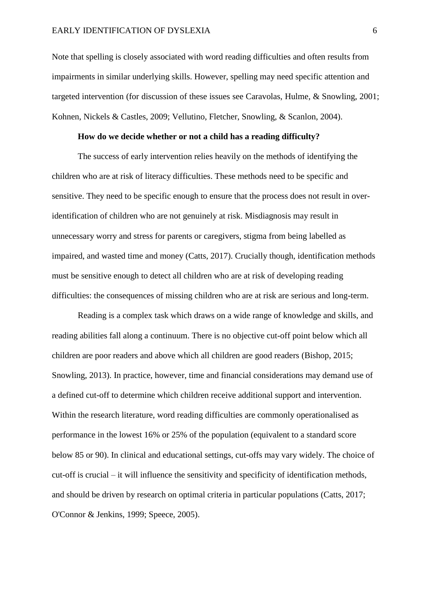Note that spelling is closely associated with word reading difficulties and often results from impairments in similar underlying skills. However, spelling may need specific attention and targeted intervention (for discussion of these issues see Caravolas, Hulme, & Snowling, 2001; Kohnen, Nickels & Castles, 2009; Vellutino, Fletcher, Snowling, & Scanlon, 2004).

## **How do we decide whether or not a child has a reading difficulty?**

The success of early intervention relies heavily on the methods of identifying the children who are at risk of literacy difficulties. These methods need to be specific and sensitive. They need to be specific enough to ensure that the process does not result in overidentification of children who are not genuinely at risk. Misdiagnosis may result in unnecessary worry and stress for parents or caregivers, stigma from being labelled as impaired, and wasted time and money (Catts, 2017). Crucially though, identification methods must be sensitive enough to detect all children who are at risk of developing reading difficulties: the consequences of missing children who are at risk are serious and long-term.

Reading is a complex task which draws on a wide range of knowledge and skills, and reading abilities fall along a continuum. There is no objective cut-off point below which all children are poor readers and above which all children are good readers (Bishop, 2015; Snowling, 2013). In practice, however, time and financial considerations may demand use of a defined cut-off to determine which children receive additional support and intervention. Within the research literature, word reading difficulties are commonly operationalised as performance in the lowest 16% or 25% of the population (equivalent to a standard score below 85 or 90). In clinical and educational settings, cut-offs may vary widely. The choice of cut-off is crucial – it will influence the sensitivity and specificity of identification methods, and should be driven by research on optimal criteria in particular populations (Catts, 2017; O'Connor & Jenkins, 1999; Speece, 2005).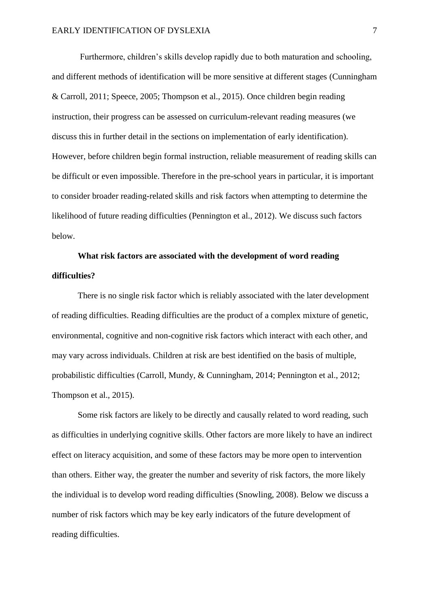Furthermore, children's skills develop rapidly due to both maturation and schooling, and different methods of identification will be more sensitive at different stages (Cunningham & Carroll, 2011; Speece, 2005; Thompson et al., 2015). Once children begin reading instruction, their progress can be assessed on curriculum-relevant reading measures (we discuss this in further detail in the sections on implementation of early identification). However, before children begin formal instruction, reliable measurement of reading skills can be difficult or even impossible. Therefore in the pre-school years in particular, it is important to consider broader reading-related skills and risk factors when attempting to determine the likelihood of future reading difficulties (Pennington et al., 2012). We discuss such factors below.

# **What risk factors are associated with the development of word reading difficulties?**

There is no single risk factor which is reliably associated with the later development of reading difficulties. Reading difficulties are the product of a complex mixture of genetic, environmental, cognitive and non-cognitive risk factors which interact with each other, and may vary across individuals. Children at risk are best identified on the basis of multiple, probabilistic difficulties (Carroll, Mundy, & Cunningham, 2014; Pennington et al., 2012; Thompson et al., 2015).

Some risk factors are likely to be directly and causally related to word reading, such as difficulties in underlying cognitive skills. Other factors are more likely to have an indirect effect on literacy acquisition, and some of these factors may be more open to intervention than others. Either way, the greater the number and severity of risk factors, the more likely the individual is to develop word reading difficulties (Snowling, 2008). Below we discuss a number of risk factors which may be key early indicators of the future development of reading difficulties.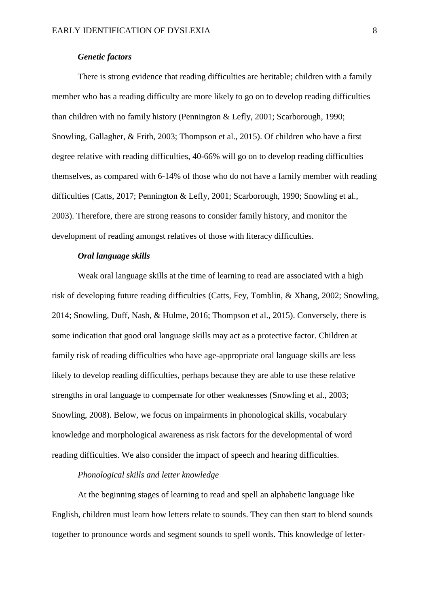# *Genetic factors*

There is strong evidence that reading difficulties are heritable; children with a family member who has a reading difficulty are more likely to go on to develop reading difficulties than children with no family history (Pennington & Lefly, 2001; Scarborough, 1990; Snowling, Gallagher, & Frith, 2003; Thompson et al., 2015). Of children who have a first degree relative with reading difficulties, 40-66% will go on to develop reading difficulties themselves, as compared with 6-14% of those who do not have a family member with reading difficulties (Catts, 2017; Pennington & Lefly, 2001; Scarborough, 1990; Snowling et al., 2003). Therefore, there are strong reasons to consider family history, and monitor the development of reading amongst relatives of those with literacy difficulties.

# *Oral language skills*

Weak oral language skills at the time of learning to read are associated with a high risk of developing future reading difficulties (Catts, Fey, Tomblin, & Xhang, 2002; Snowling, 2014; Snowling, Duff, Nash, & Hulme, 2016; Thompson et al., 2015). Conversely, there is some indication that good oral language skills may act as a protective factor. Children at family risk of reading difficulties who have age-appropriate oral language skills are less likely to develop reading difficulties, perhaps because they are able to use these relative strengths in oral language to compensate for other weaknesses (Snowling et al., 2003; Snowling, 2008). Below, we focus on impairments in phonological skills, vocabulary knowledge and morphological awareness as risk factors for the developmental of word reading difficulties. We also consider the impact of speech and hearing difficulties.

# *Phonological skills and letter knowledge*

At the beginning stages of learning to read and spell an alphabetic language like English, children must learn how letters relate to sounds. They can then start to blend sounds together to pronounce words and segment sounds to spell words. This knowledge of letter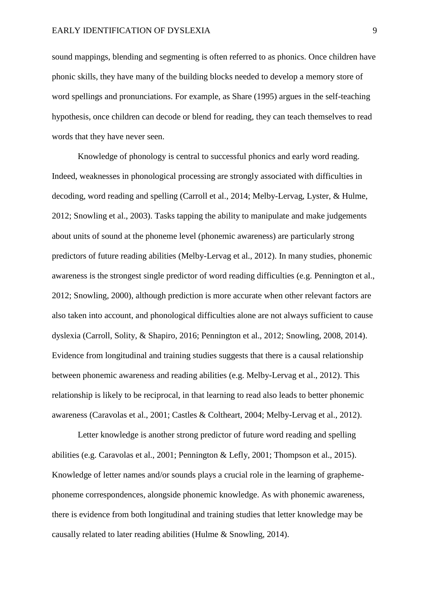sound mappings, blending and segmenting is often referred to as phonics. Once children have phonic skills, they have many of the building blocks needed to develop a memory store of word spellings and pronunciations. For example, as Share (1995) argues in the self-teaching hypothesis, once children can decode or blend for reading, they can teach themselves to read words that they have never seen.

Knowledge of phonology is central to successful phonics and early word reading. Indeed, weaknesses in phonological processing are strongly associated with difficulties in decoding, word reading and spelling (Carroll et al., 2014; Melby-Lervag, Lyster, & Hulme, 2012; Snowling et al., 2003). Tasks tapping the ability to manipulate and make judgements about units of sound at the phoneme level (phonemic awareness) are particularly strong predictors of future reading abilities (Melby-Lervag et al., 2012). In many studies, phonemic awareness is the strongest single predictor of word reading difficulties (e.g. Pennington et al., 2012; Snowling, 2000), although prediction is more accurate when other relevant factors are also taken into account, and phonological difficulties alone are not always sufficient to cause dyslexia (Carroll, Solity, & Shapiro, 2016; Pennington et al., 2012; Snowling, 2008, 2014). Evidence from longitudinal and training studies suggests that there is a causal relationship between phonemic awareness and reading abilities (e.g. Melby-Lervag et al., 2012). This relationship is likely to be reciprocal, in that learning to read also leads to better phonemic awareness (Caravolas et al., 2001; Castles & Coltheart, 2004; Melby-Lervag et al., 2012).

Letter knowledge is another strong predictor of future word reading and spelling abilities (e.g. Caravolas et al., 2001; Pennington & Lefly, 2001; Thompson et al., 2015). Knowledge of letter names and/or sounds plays a crucial role in the learning of graphemephoneme correspondences, alongside phonemic knowledge. As with phonemic awareness, there is evidence from both longitudinal and training studies that letter knowledge may be causally related to later reading abilities (Hulme & Snowling, 2014).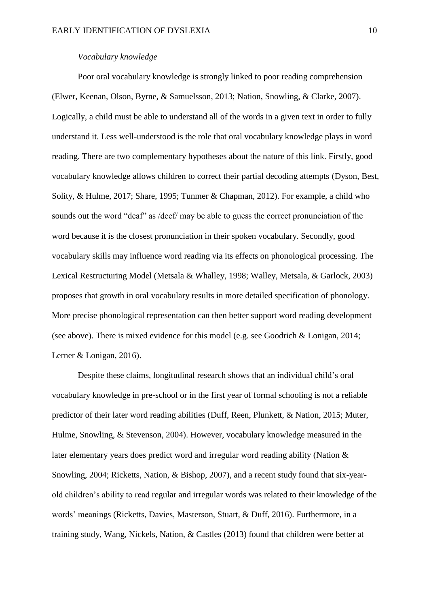#### *Vocabulary knowledge*

Poor oral vocabulary knowledge is strongly linked to poor reading comprehension (Elwer, Keenan, Olson, Byrne, & Samuelsson, 2013; Nation, Snowling, & Clarke, 2007). Logically, a child must be able to understand all of the words in a given text in order to fully understand it. Less well-understood is the role that oral vocabulary knowledge plays in word reading. There are two complementary hypotheses about the nature of this link. Firstly, good vocabulary knowledge allows children to correct their partial decoding attempts (Dyson, Best, Solity, & Hulme, 2017; Share, 1995; Tunmer & Chapman, 2012). For example, a child who sounds out the word "deaf" as /deef/ may be able to guess the correct pronunciation of the word because it is the closest pronunciation in their spoken vocabulary. Secondly, good vocabulary skills may influence word reading via its effects on phonological processing. The Lexical Restructuring Model (Metsala & Whalley, 1998; Walley, Metsala, & Garlock, 2003) proposes that growth in oral vocabulary results in more detailed specification of phonology. More precise phonological representation can then better support word reading development (see above). There is mixed evidence for this model (e.g. see Goodrich & Lonigan, 2014; Lerner & Lonigan, 2016).

Despite these claims, longitudinal research shows that an individual child's oral vocabulary knowledge in pre-school or in the first year of formal schooling is not a reliable predictor of their later word reading abilities (Duff, Reen, Plunkett, & Nation, 2015; Muter, Hulme, Snowling, & Stevenson, 2004). However, vocabulary knowledge measured in the later elementary years does predict word and irregular word reading ability (Nation & Snowling, 2004; Ricketts, Nation, & Bishop, 2007), and a recent study found that six-yearold children's ability to read regular and irregular words was related to their knowledge of the words' meanings (Ricketts, Davies, Masterson, Stuart, & Duff, 2016). Furthermore, in a training study, Wang, Nickels, Nation, & Castles (2013) found that children were better at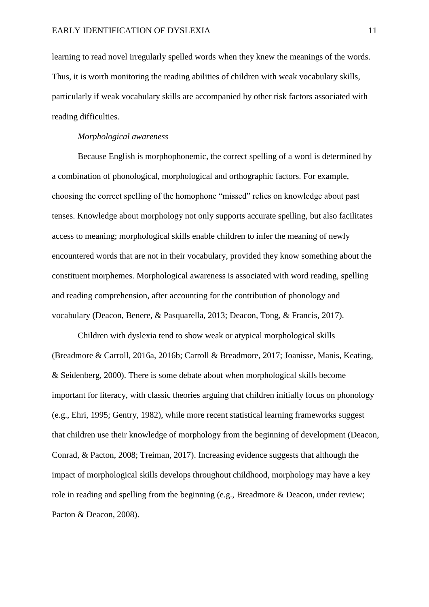learning to read novel irregularly spelled words when they knew the meanings of the words. Thus, it is worth monitoring the reading abilities of children with weak vocabulary skills, particularly if weak vocabulary skills are accompanied by other risk factors associated with reading difficulties.

# *Morphological awareness*

Because English is morphophonemic, the correct spelling of a word is determined by a combination of phonological, morphological and orthographic factors. For example, choosing the correct spelling of the homophone "missed" relies on knowledge about past tenses. Knowledge about morphology not only supports accurate spelling, but also facilitates access to meaning; morphological skills enable children to infer the meaning of newly encountered words that are not in their vocabulary, provided they know something about the constituent morphemes. Morphological awareness is associated with word reading, spelling and reading comprehension, after accounting for the contribution of phonology and vocabulary (Deacon, Benere, & Pasquarella, 2013; Deacon, Tong, & Francis, 2017).

Children with dyslexia tend to show weak or atypical morphological skills (Breadmore & Carroll, 2016a, 2016b; Carroll & Breadmore, 2017; Joanisse, Manis, Keating, & Seidenberg, 2000). There is some debate about when morphological skills become important for literacy, with classic theories arguing that children initially focus on phonology (e.g., Ehri, 1995; Gentry, 1982), while more recent statistical learning frameworks suggest that children use their knowledge of morphology from the beginning of development (Deacon, Conrad, & Pacton, 2008; Treiman, 2017). Increasing evidence suggests that although the impact of morphological skills develops throughout childhood, morphology may have a key role in reading and spelling from the beginning (e.g., Breadmore & Deacon, under review; Pacton & Deacon, 2008).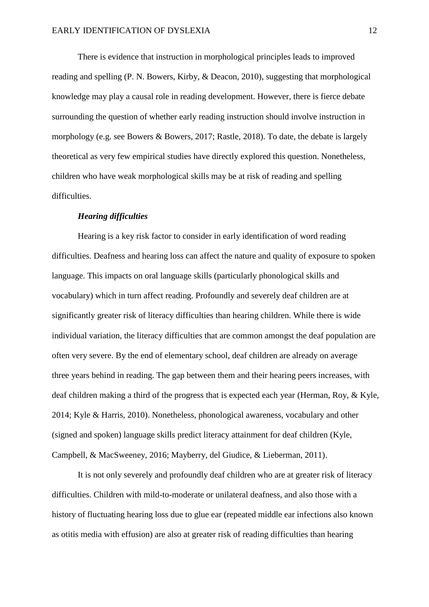There is evidence that instruction in morphological principles leads to improved reading and spelling (P. N. Bowers, Kirby, & Deacon, 2010), suggesting that morphological knowledge may play a causal role in reading development. However, there is fierce debate surrounding the question of whether early reading instruction should involve instruction in morphology (e.g. see Bowers & Bowers, 2017; Rastle, 2018). To date, the debate is largely theoretical as very few empirical studies have directly explored this question. Nonetheless, children who have weak morphological skills may be at risk of reading and spelling difficulties.

## *Hearing difficulties*

Hearing is a key risk factor to consider in early identification of word reading difficulties. Deafness and hearing loss can affect the nature and quality of exposure to spoken language. This impacts on oral language skills (particularly phonological skills and vocabulary) which in turn affect reading. Profoundly and severely deaf children are at significantly greater risk of literacy difficulties than hearing children. While there is wide individual variation, the literacy difficulties that are common amongst the deaf population are often very severe. By the end of elementary school, deaf children are already on average three years behind in reading. The gap between them and their hearing peers increases, with deaf children making a third of the progress that is expected each year (Herman, Roy, & Kyle, 2014; Kyle & Harris, 2010). Nonetheless, phonological awareness, vocabulary and other (signed and spoken) language skills predict literacy attainment for deaf children (Kyle, Campbell, & MacSweeney, 2016; Mayberry, del Giudice, & Lieberman, 2011).

It is not only severely and profoundly deaf children who are at greater risk of literacy difficulties. Children with mild-to-moderate or unilateral deafness, and also those with a history of fluctuating hearing loss due to glue ear (repeated middle ear infections also known as otitis media with effusion) are also at greater risk of reading difficulties than hearing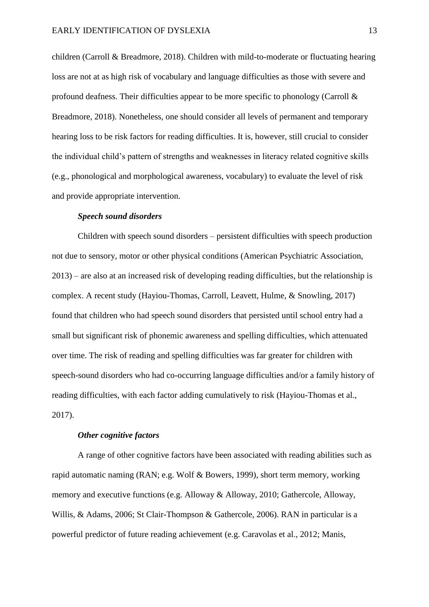children (Carroll & Breadmore, 2018). Children with mild-to-moderate or fluctuating hearing loss are not at as high risk of vocabulary and language difficulties as those with severe and profound deafness. Their difficulties appear to be more specific to phonology (Carroll  $\&$ Breadmore, 2018). Nonetheless, one should consider all levels of permanent and temporary hearing loss to be risk factors for reading difficulties. It is, however, still crucial to consider the individual child's pattern of strengths and weaknesses in literacy related cognitive skills (e.g., phonological and morphological awareness, vocabulary) to evaluate the level of risk and provide appropriate intervention.

## *Speech sound disorders*

Children with speech sound disorders – persistent difficulties with speech production not due to sensory, motor or other physical conditions (American Psychiatric Association, 2013) – are also at an increased risk of developing reading difficulties, but the relationship is complex. A recent study (Hayiou-Thomas, Carroll, Leavett, Hulme, & Snowling, 2017) found that children who had speech sound disorders that persisted until school entry had a small but significant risk of phonemic awareness and spelling difficulties, which attenuated over time. The risk of reading and spelling difficulties was far greater for children with speech-sound disorders who had co-occurring language difficulties and/or a family history of reading difficulties, with each factor adding cumulatively to risk (Hayiou-Thomas et al., 2017).

#### *Other cognitive factors*

A range of other cognitive factors have been associated with reading abilities such as rapid automatic naming (RAN; e.g. Wolf & Bowers, 1999), short term memory, working memory and executive functions (e.g. Alloway & Alloway, 2010; Gathercole, Alloway, Willis, & Adams, 2006; St Clair-Thompson & Gathercole, 2006). RAN in particular is a powerful predictor of future reading achievement (e.g. Caravolas et al., 2012; Manis,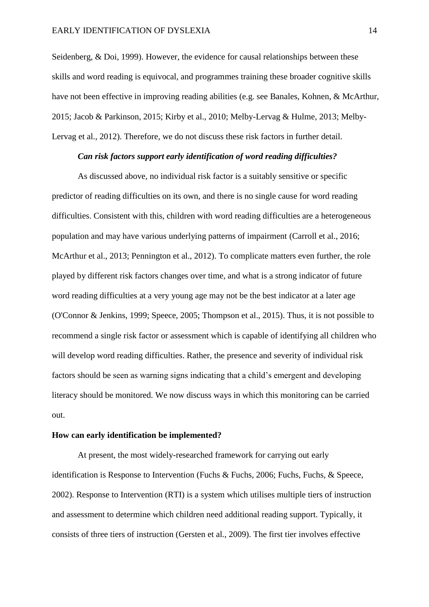Seidenberg, & Doi, 1999). However, the evidence for causal relationships between these skills and word reading is equivocal, and programmes training these broader cognitive skills have not been effective in improving reading abilities (e.g. see Banales, Kohnen, & McArthur, 2015; Jacob & Parkinson, 2015; Kirby et al., 2010; Melby-Lervag & Hulme, 2013; Melby-Lervag et al., 2012). Therefore, we do not discuss these risk factors in further detail.

# *Can risk factors support early identification of word reading difficulties?*

As discussed above, no individual risk factor is a suitably sensitive or specific predictor of reading difficulties on its own, and there is no single cause for word reading difficulties. Consistent with this, children with word reading difficulties are a heterogeneous population and may have various underlying patterns of impairment (Carroll et al., 2016; McArthur et al., 2013; Pennington et al., 2012). To complicate matters even further, the role played by different risk factors changes over time, and what is a strong indicator of future word reading difficulties at a very young age may not be the best indicator at a later age (O'Connor & Jenkins, 1999; Speece, 2005; Thompson et al., 2015). Thus, it is not possible to recommend a single risk factor or assessment which is capable of identifying all children who will develop word reading difficulties. Rather, the presence and severity of individual risk factors should be seen as warning signs indicating that a child's emergent and developing literacy should be monitored. We now discuss ways in which this monitoring can be carried out.

#### **How can early identification be implemented?**

At present, the most widely-researched framework for carrying out early identification is Response to Intervention (Fuchs & Fuchs, 2006; Fuchs, Fuchs, & Speece, 2002). Response to Intervention (RTI) is a system which utilises multiple tiers of instruction and assessment to determine which children need additional reading support. Typically, it consists of three tiers of instruction (Gersten et al., 2009). The first tier involves effective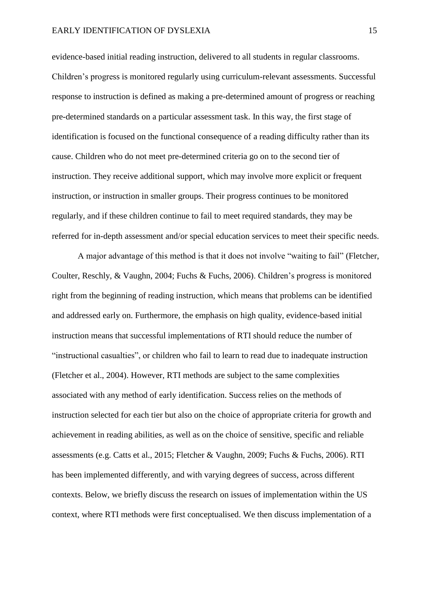evidence-based initial reading instruction, delivered to all students in regular classrooms. Children's progress is monitored regularly using curriculum-relevant assessments. Successful response to instruction is defined as making a pre-determined amount of progress or reaching pre-determined standards on a particular assessment task. In this way, the first stage of identification is focused on the functional consequence of a reading difficulty rather than its cause. Children who do not meet pre-determined criteria go on to the second tier of instruction. They receive additional support, which may involve more explicit or frequent instruction, or instruction in smaller groups. Their progress continues to be monitored regularly, and if these children continue to fail to meet required standards, they may be referred for in-depth assessment and/or special education services to meet their specific needs.

A major advantage of this method is that it does not involve "waiting to fail" (Fletcher, Coulter, Reschly, & Vaughn, 2004; Fuchs & Fuchs, 2006). Children's progress is monitored right from the beginning of reading instruction, which means that problems can be identified and addressed early on. Furthermore, the emphasis on high quality, evidence-based initial instruction means that successful implementations of RTI should reduce the number of "instructional casualties", or children who fail to learn to read due to inadequate instruction (Fletcher et al., 2004). However, RTI methods are subject to the same complexities associated with any method of early identification. Success relies on the methods of instruction selected for each tier but also on the choice of appropriate criteria for growth and achievement in reading abilities, as well as on the choice of sensitive, specific and reliable assessments (e.g. Catts et al., 2015; Fletcher & Vaughn, 2009; Fuchs & Fuchs, 2006). RTI has been implemented differently, and with varying degrees of success, across different contexts. Below, we briefly discuss the research on issues of implementation within the US context, where RTI methods were first conceptualised. We then discuss implementation of a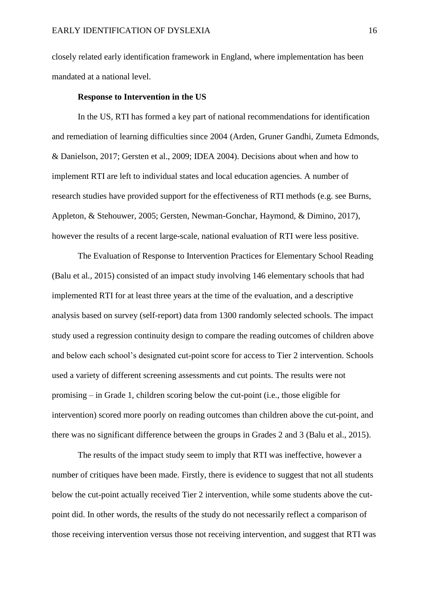closely related early identification framework in England, where implementation has been mandated at a national level.

#### **Response to Intervention in the US**

In the US, RTI has formed a key part of national recommendations for identification and remediation of learning difficulties since 2004 (Arden, Gruner Gandhi, Zumeta Edmonds, & Danielson, 2017; Gersten et al., 2009; IDEA 2004). Decisions about when and how to implement RTI are left to individual states and local education agencies. A number of research studies have provided support for the effectiveness of RTI methods (e.g. see Burns, Appleton, & Stehouwer, 2005; Gersten, Newman-Gonchar, Haymond, & Dimino, 2017), however the results of a recent large-scale, national evaluation of RTI were less positive.

The Evaluation of Response to Intervention Practices for Elementary School Reading (Balu et al., 2015) consisted of an impact study involving 146 elementary schools that had implemented RTI for at least three years at the time of the evaluation, and a descriptive analysis based on survey (self-report) data from 1300 randomly selected schools. The impact study used a regression continuity design to compare the reading outcomes of children above and below each school's designated cut-point score for access to Tier 2 intervention. Schools used a variety of different screening assessments and cut points. The results were not promising – in Grade 1, children scoring below the cut-point (i.e., those eligible for intervention) scored more poorly on reading outcomes than children above the cut-point, and there was no significant difference between the groups in Grades 2 and 3 (Balu et al., 2015).

The results of the impact study seem to imply that RTI was ineffective, however a number of critiques have been made. Firstly, there is evidence to suggest that not all students below the cut-point actually received Tier 2 intervention, while some students above the cutpoint did. In other words, the results of the study do not necessarily reflect a comparison of those receiving intervention versus those not receiving intervention, and suggest that RTI was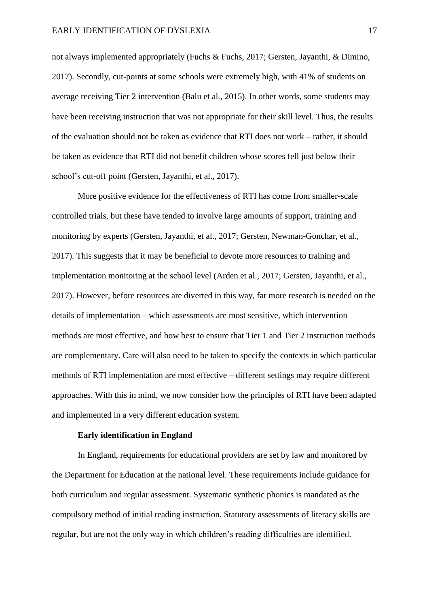not always implemented appropriately (Fuchs & Fuchs, 2017; Gersten, Jayanthi, & Dimino, 2017). Secondly, cut-points at some schools were extremely high, with 41% of students on average receiving Tier 2 intervention (Balu et al., 2015). In other words, some students may have been receiving instruction that was not appropriate for their skill level. Thus, the results of the evaluation should not be taken as evidence that RTI does not work – rather, it should be taken as evidence that RTI did not benefit children whose scores fell just below their school's cut-off point (Gersten, Jayanthi, et al., 2017).

More positive evidence for the effectiveness of RTI has come from smaller-scale controlled trials, but these have tended to involve large amounts of support, training and monitoring by experts (Gersten, Jayanthi, et al., 2017; Gersten, Newman-Gonchar, et al., 2017). This suggests that it may be beneficial to devote more resources to training and implementation monitoring at the school level (Arden et al., 2017; Gersten, Jayanthi, et al., 2017). However, before resources are diverted in this way, far more research is needed on the details of implementation – which assessments are most sensitive, which intervention methods are most effective, and how best to ensure that Tier 1 and Tier 2 instruction methods are complementary. Care will also need to be taken to specify the contexts in which particular methods of RTI implementation are most effective – different settings may require different approaches. With this in mind, we now consider how the principles of RTI have been adapted and implemented in a very different education system.

#### **Early identification in England**

In England, requirements for educational providers are set by law and monitored by the Department for Education at the national level. These requirements include guidance for both curriculum and regular assessment. Systematic synthetic phonics is mandated as the compulsory method of initial reading instruction. Statutory assessments of literacy skills are regular, but are not the only way in which children's reading difficulties are identified.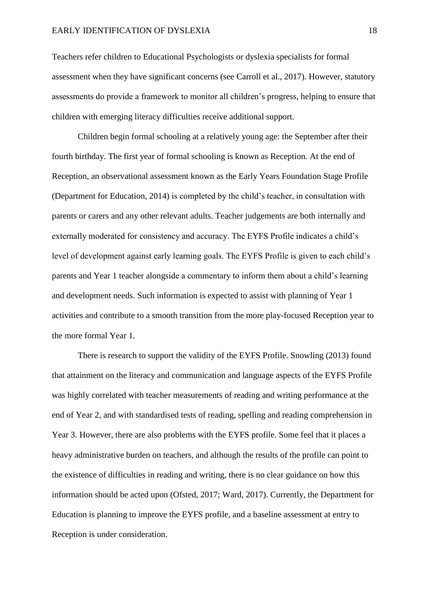Teachers refer children to Educational Psychologists or dyslexia specialists for formal assessment when they have significant concerns (see Carroll et al., 2017). However, statutory assessments do provide a framework to monitor all children's progress, helping to ensure that children with emerging literacy difficulties receive additional support.

Children begin formal schooling at a relatively young age: the September after their fourth birthday. The first year of formal schooling is known as Reception. At the end of Reception, an observational assessment known as the Early Years Foundation Stage Profile (Department for Education, 2014) is completed by the child's teacher, in consultation with parents or carers and any other relevant adults. Teacher judgements are both internally and externally moderated for consistency and accuracy. The EYFS Profile indicates a child's level of development against early learning goals. The EYFS Profile is given to each child's parents and Year 1 teacher alongside a commentary to inform them about a child's learning and development needs. Such information is expected to assist with planning of Year 1 activities and contribute to a smooth transition from the more play-focused Reception year to the more formal Year 1.

There is research to support the validity of the EYFS Profile. Snowling (2013) found that attainment on the literacy and communication and language aspects of the EYFS Profile was highly correlated with teacher measurements of reading and writing performance at the end of Year 2, and with standardised tests of reading, spelling and reading comprehension in Year 3. However, there are also problems with the EYFS profile. Some feel that it places a heavy administrative burden on teachers, and although the results of the profile can point to the existence of difficulties in reading and writing, there is no clear guidance on how this information should be acted upon (Ofsted, 2017; Ward, 2017). Currently, the Department for Education is planning to improve the EYFS profile, and a baseline assessment at entry to Reception is under consideration.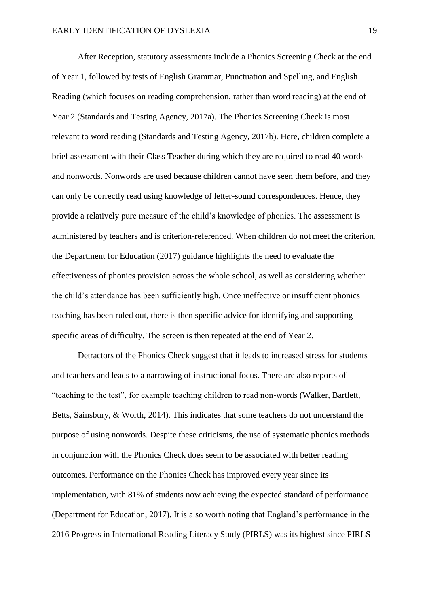After Reception, statutory assessments include a Phonics Screening Check at the end of Year 1, followed by tests of English Grammar, Punctuation and Spelling, and English Reading (which focuses on reading comprehension, rather than word reading) at the end of Year 2 (Standards and Testing Agency, 2017a). The Phonics Screening Check is most relevant to word reading (Standards and Testing Agency, 2017b). Here, children complete a brief assessment with their Class Teacher during which they are required to read 40 words and nonwords. Nonwords are used because children cannot have seen them before, and they can only be correctly read using knowledge of letter-sound correspondences. Hence, they provide a relatively pure measure of the child's knowledge of phonics. The assessment is administered by teachers and is criterion-referenced. When children do not meet the criterion, the Department for Education (2017) guidance highlights the need to evaluate the effectiveness of phonics provision across the whole school, as well as considering whether the child's attendance has been sufficiently high. Once ineffective or insufficient phonics teaching has been ruled out, there is then specific advice for identifying and supporting specific areas of difficulty. The screen is then repeated at the end of Year 2.

Detractors of the Phonics Check suggest that it leads to increased stress for students and teachers and leads to a narrowing of instructional focus. There are also reports of "teaching to the test", for example teaching children to read non-words (Walker, Bartlett, Betts, Sainsbury, & Worth, 2014). This indicates that some teachers do not understand the purpose of using nonwords. Despite these criticisms, the use of systematic phonics methods in conjunction with the Phonics Check does seem to be associated with better reading outcomes. Performance on the Phonics Check has improved every year since its implementation, with 81% of students now achieving the expected standard of performance (Department for Education, 2017). It is also worth noting that England's performance in the 2016 Progress in International Reading Literacy Study (PIRLS) was its highest since PIRLS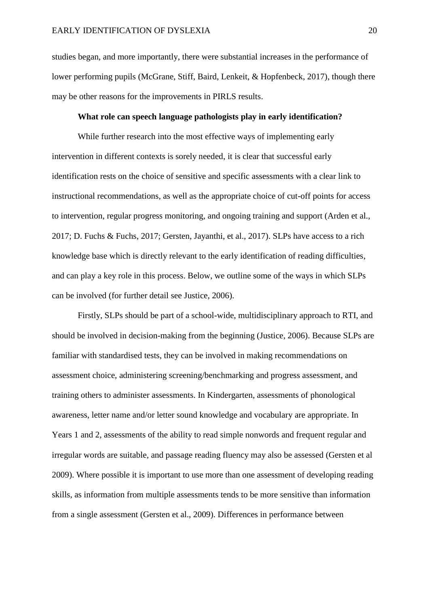studies began, and more importantly, there were substantial increases in the performance of lower performing pupils (McGrane, Stiff, Baird, Lenkeit, & Hopfenbeck, 2017), though there may be other reasons for the improvements in PIRLS results.

# **What role can speech language pathologists play in early identification?**

While further research into the most effective ways of implementing early intervention in different contexts is sorely needed, it is clear that successful early identification rests on the choice of sensitive and specific assessments with a clear link to instructional recommendations, as well as the appropriate choice of cut-off points for access to intervention, regular progress monitoring, and ongoing training and support (Arden et al., 2017; D. Fuchs & Fuchs, 2017; Gersten, Jayanthi, et al., 2017). SLPs have access to a rich knowledge base which is directly relevant to the early identification of reading difficulties, and can play a key role in this process. Below, we outline some of the ways in which SLPs can be involved (for further detail see Justice, 2006).

Firstly, SLPs should be part of a school-wide, multidisciplinary approach to RTI, and should be involved in decision-making from the beginning (Justice, 2006). Because SLPs are familiar with standardised tests, they can be involved in making recommendations on assessment choice, administering screening/benchmarking and progress assessment, and training others to administer assessments. In Kindergarten, assessments of phonological awareness, letter name and/or letter sound knowledge and vocabulary are appropriate. In Years 1 and 2, assessments of the ability to read simple nonwords and frequent regular and irregular words are suitable, and passage reading fluency may also be assessed (Gersten et al 2009). Where possible it is important to use more than one assessment of developing reading skills, as information from multiple assessments tends to be more sensitive than information from a single assessment (Gersten et al., 2009). Differences in performance between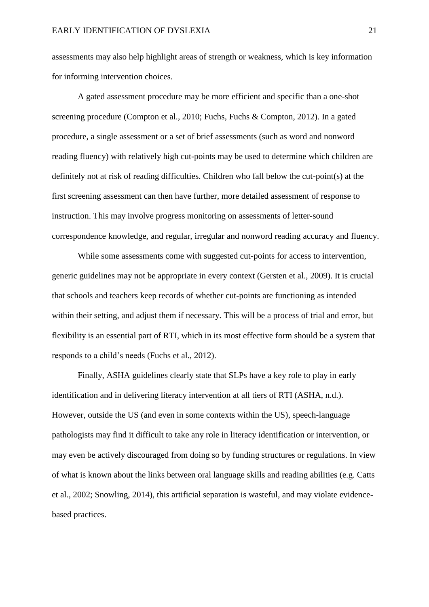assessments may also help highlight areas of strength or weakness, which is key information for informing intervention choices.

A gated assessment procedure may be more efficient and specific than a one-shot screening procedure (Compton et al., 2010; Fuchs, Fuchs & Compton, 2012). In a gated procedure, a single assessment or a set of brief assessments (such as word and nonword reading fluency) with relatively high cut-points may be used to determine which children are definitely not at risk of reading difficulties. Children who fall below the cut-point(s) at the first screening assessment can then have further, more detailed assessment of response to instruction. This may involve progress monitoring on assessments of letter-sound correspondence knowledge, and regular, irregular and nonword reading accuracy and fluency.

While some assessments come with suggested cut-points for access to intervention, generic guidelines may not be appropriate in every context (Gersten et al., 2009). It is crucial that schools and teachers keep records of whether cut-points are functioning as intended within their setting, and adjust them if necessary. This will be a process of trial and error, but flexibility is an essential part of RTI, which in its most effective form should be a system that responds to a child's needs (Fuchs et al., 2012).

Finally, ASHA guidelines clearly state that SLPs have a key role to play in early identification and in delivering literacy intervention at all tiers of RTI (ASHA, n.d.). However, outside the US (and even in some contexts within the US), speech-language pathologists may find it difficult to take any role in literacy identification or intervention, or may even be actively discouraged from doing so by funding structures or regulations. In view of what is known about the links between oral language skills and reading abilities (e.g. Catts et al., 2002; Snowling, 2014), this artificial separation is wasteful, and may violate evidencebased practices.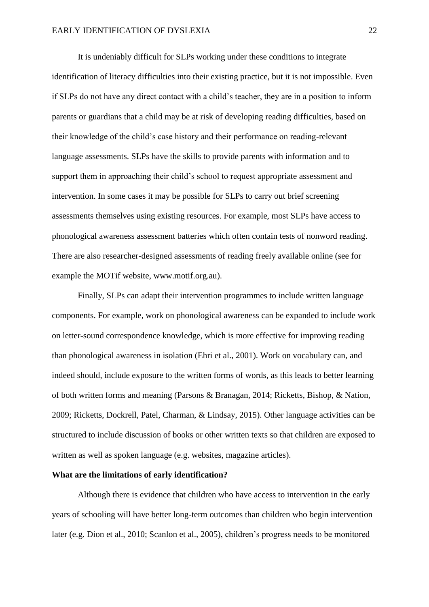It is undeniably difficult for SLPs working under these conditions to integrate identification of literacy difficulties into their existing practice, but it is not impossible. Even if SLPs do not have any direct contact with a child's teacher, they are in a position to inform parents or guardians that a child may be at risk of developing reading difficulties, based on their knowledge of the child's case history and their performance on reading-relevant language assessments. SLPs have the skills to provide parents with information and to support them in approaching their child's school to request appropriate assessment and intervention. In some cases it may be possible for SLPs to carry out brief screening assessments themselves using existing resources. For example, most SLPs have access to phonological awareness assessment batteries which often contain tests of nonword reading. There are also researcher-designed assessments of reading freely available online (see for example the MOTif website, [www.motif.org.au\)](http://www.motif.org.au/).

Finally, SLPs can adapt their intervention programmes to include written language components. For example, work on phonological awareness can be expanded to include work on letter-sound correspondence knowledge, which is more effective for improving reading than phonological awareness in isolation (Ehri et al., 2001). Work on vocabulary can, and indeed should, include exposure to the written forms of words, as this leads to better learning of both written forms and meaning (Parsons & Branagan, 2014; Ricketts, Bishop, & Nation, 2009; Ricketts, Dockrell, Patel, Charman, & Lindsay, 2015). Other language activities can be structured to include discussion of books or other written texts so that children are exposed to written as well as spoken language (e.g. websites, magazine articles).

# **What are the limitations of early identification?**

Although there is evidence that children who have access to intervention in the early years of schooling will have better long-term outcomes than children who begin intervention later (e.g. Dion et al., 2010; Scanlon et al., 2005), children's progress needs to be monitored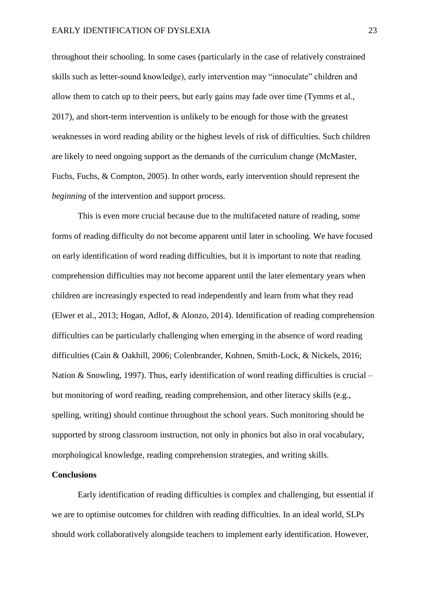throughout their schooling. In some cases (particularly in the case of relatively constrained skills such as letter-sound knowledge), early intervention may "innoculate" children and allow them to catch up to their peers, but early gains may fade over time (Tymms et al., 2017), and short-term intervention is unlikely to be enough for those with the greatest weaknesses in word reading ability or the highest levels of risk of difficulties. Such children are likely to need ongoing support as the demands of the curriculum change (McMaster, Fuchs, Fuchs, & Compton, 2005). In other words, early intervention should represent the *beginning* of the intervention and support process.

This is even more crucial because due to the multifaceted nature of reading, some forms of reading difficulty do not become apparent until later in schooling. We have focused on early identification of word reading difficulties, but it is important to note that reading comprehension difficulties may not become apparent until the later elementary years when children are increasingly expected to read independently and learn from what they read (Elwer et al., 2013; Hogan, Adlof, & Alonzo, 2014). Identification of reading comprehension difficulties can be particularly challenging when emerging in the absence of word reading difficulties (Cain & Oakhill, 2006; Colenbrander, Kohnen, Smith-Lock, & Nickels, 2016; Nation & Snowling, 1997). Thus, early identification of word reading difficulties is crucial – but monitoring of word reading, reading comprehension, and other literacy skills (e.g., spelling, writing) should continue throughout the school years. Such monitoring should be supported by strong classroom instruction, not only in phonics but also in oral vocabulary, morphological knowledge, reading comprehension strategies, and writing skills.

#### **Conclusions**

Early identification of reading difficulties is complex and challenging, but essential if we are to optimise outcomes for children with reading difficulties. In an ideal world, SLPs should work collaboratively alongside teachers to implement early identification. However,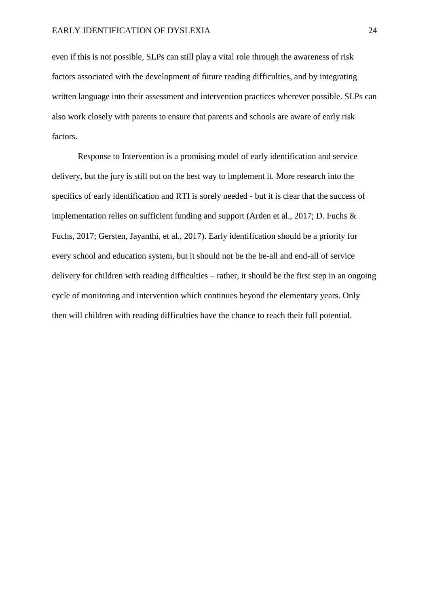even if this is not possible, SLPs can still play a vital role through the awareness of risk factors associated with the development of future reading difficulties, and by integrating written language into their assessment and intervention practices wherever possible. SLPs can also work closely with parents to ensure that parents and schools are aware of early risk factors.

Response to Intervention is a promising model of early identification and service delivery, but the jury is still out on the best way to implement it. More research into the specifics of early identification and RTI is sorely needed - but it is clear that the success of implementation relies on sufficient funding and support (Arden et al., 2017; D. Fuchs & Fuchs, 2017; Gersten, Jayanthi, et al., 2017). Early identification should be a priority for every school and education system, but it should not be the be-all and end-all of service delivery for children with reading difficulties – rather, it should be the first step in an ongoing cycle of monitoring and intervention which continues beyond the elementary years. Only then will children with reading difficulties have the chance to reach their full potential.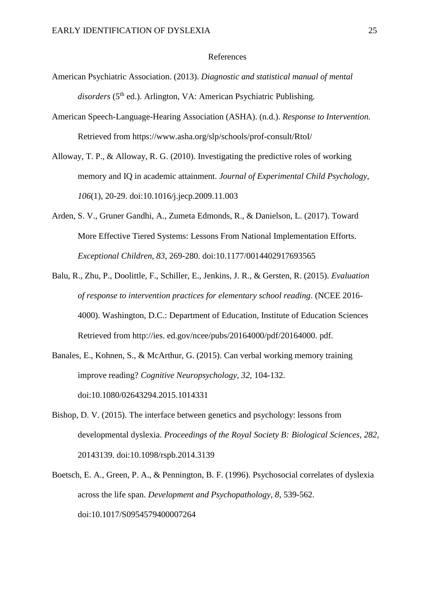#### References

- American Psychiatric Association. (2013). *Diagnostic and statistical manual of mental*  disorders (5<sup>th</sup> ed.). Arlington, VA: American Psychiatric Publishing.
- American Speech-Language-Hearing Association (ASHA). (n.d.). *Response to Intervention.*  Retrieved from https://www.asha.org/slp/schools/prof-consult/RtoI/
- Alloway, T. P., & Alloway, R. G. (2010). Investigating the predictive roles of working memory and IQ in academic attainment. *Journal of Experimental Child Psychology, 106*(1), 20-29. doi:10.1016/j.jecp.2009.11.003
- Arden, S. V., Gruner Gandhi, A., Zumeta Edmonds, R., & Danielson, L. (2017). Toward More Effective Tiered Systems: Lessons From National Implementation Efforts. *Exceptional Children, 83*, 269-280. doi:10.1177/0014402917693565
- Balu, R., Zhu, P., Doolittle, F., Schiller, E., Jenkins, J. R., & Gersten, R. (2015). *Evaluation of response to intervention practices for elementary school reading*. (NCEE 2016- 4000). Washington, D.C.: Department of Education, Institute of Education Sciences Retrieved from http://ies. ed.gov/ncee/pubs/20164000/pdf/20164000. pdf.
- Banales, E., Kohnen, S., & McArthur, G. (2015). Can verbal working memory training improve reading? *Cognitive Neuropsychology, 32*, 104-132. doi:10.1080/02643294.2015.1014331
- Bishop, D. V. (2015). The interface between genetics and psychology: lessons from developmental dyslexia. *Proceedings of the Royal Society B: Biological Sciences, 282*, 20143139. doi:10.1098/rspb.2014.3139
- Boetsch, E. A., Green, P. A., & Pennington, B. F. (1996). Psychosocial correlates of dyslexia across the life span. *Development and Psychopathology, 8*, 539-562. doi:10.1017/S0954579400007264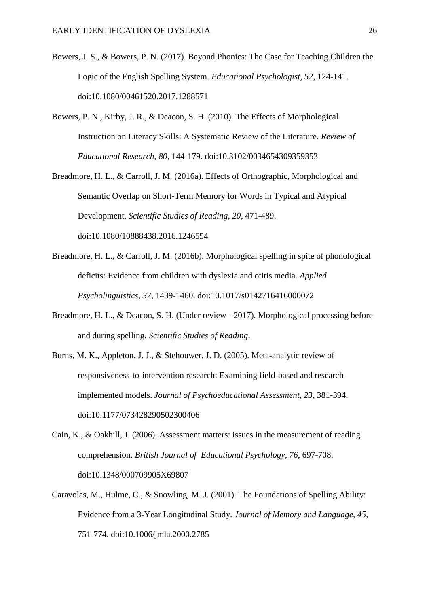- Bowers, J. S., & Bowers, P. N. (2017). Beyond Phonics: The Case for Teaching Children the Logic of the English Spelling System. *Educational Psychologist, 52*, 124-141. doi:10.1080/00461520.2017.1288571
- Bowers, P. N., Kirby, J. R., & Deacon, S. H. (2010). The Effects of Morphological Instruction on Literacy Skills: A Systematic Review of the Literature. *Review of Educational Research, 80*, 144-179. doi:10.3102/0034654309359353
- Breadmore, H. L., & Carroll, J. M. (2016a). Effects of Orthographic, Morphological and Semantic Overlap on Short-Term Memory for Words in Typical and Atypical Development. *Scientific Studies of Reading, 20*, 471-489. doi:10.1080/10888438.2016.1246554
- Breadmore, H. L., & Carroll, J. M. (2016b). Morphological spelling in spite of phonological deficits: Evidence from children with dyslexia and otitis media. *Applied Psycholinguistics, 37*, 1439-1460. doi:10.1017/s0142716416000072
- Breadmore, H. L., & Deacon, S. H. (Under review 2017). Morphological processing before and during spelling. *Scientific Studies of Reading*.
- Burns, M. K., Appleton, J. J., & Stehouwer, J. D. (2005). Meta-analytic review of responsiveness-to-intervention research: Examining field-based and researchimplemented models. *Journal of Psychoeducational Assessment, 23*, 381-394. doi:10.1177/073428290502300406
- Cain, K., & Oakhill, J. (2006). Assessment matters: issues in the measurement of reading comprehension. *British Journal of Educational Psychology, 76*, 697-708. doi:10.1348/000709905X69807
- Caravolas, M., Hulme, C., & Snowling, M. J. (2001). The Foundations of Spelling Ability: Evidence from a 3-Year Longitudinal Study. *Journal of Memory and Language, 45*, 751-774. doi:10.1006/jmla.2000.2785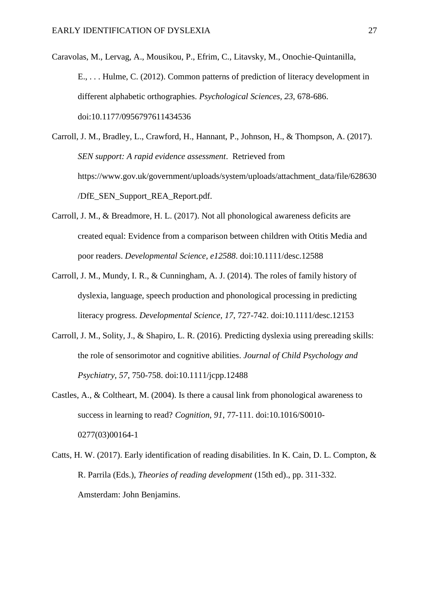Caravolas, M., Lervag, A., Mousikou, P., Efrim, C., Litavsky, M., Onochie-Quintanilla, E., . . . Hulme, C. (2012). Common patterns of prediction of literacy development in different alphabetic orthographies. *Psychological Sciences, 23*, 678-686. doi:10.1177/0956797611434536

Carroll, J. M., Bradley, L., Crawford, H., Hannant, P., Johnson, H., & Thompson, A. (2017). *SEN support: A rapid evidence assessment*. Retrieved from https://www.gov.uk/government/uploads/system/uploads/attachment\_data/file/628630 /DfE\_SEN\_Support\_REA\_Report.pdf.

- Carroll, J. M., & Breadmore, H. L. (2017). Not all phonological awareness deficits are created equal: Evidence from a comparison between children with Otitis Media and poor readers. *Developmental Science, e12588*. doi:10.1111/desc.12588
- Carroll, J. M., Mundy, I. R., & Cunningham, A. J. (2014). The roles of family history of dyslexia, language, speech production and phonological processing in predicting literacy progress. *Developmental Science, 17*, 727-742. doi:10.1111/desc.12153
- Carroll, J. M., Solity, J., & Shapiro, L. R. (2016). Predicting dyslexia using prereading skills: the role of sensorimotor and cognitive abilities. *Journal of Child Psychology and Psychiatry, 57*, 750-758. doi:10.1111/jcpp.12488
- Castles, A., & Coltheart, M. (2004). Is there a causal link from phonological awareness to success in learning to read? *Cognition, 91*, 77-111. doi:10.1016/S0010- 0277(03)00164-1
- Catts, H. W. (2017). Early identification of reading disabilities. In K. Cain, D. L. Compton, & R. Parrila (Eds.), *Theories of reading development* (15th ed)., pp. 311-332. Amsterdam: John Benjamins.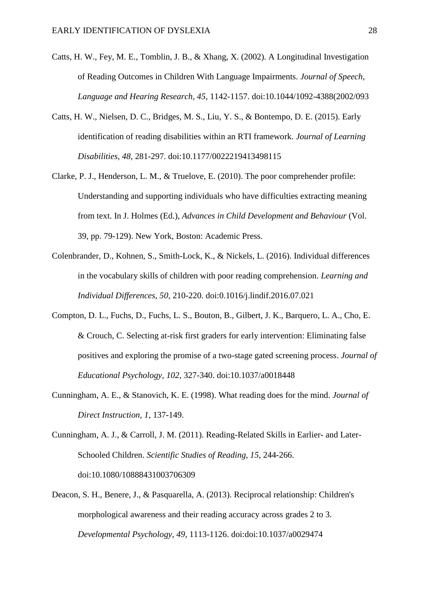- Catts, H. W., Fey, M. E., Tomblin, J. B., & Xhang, X. (2002). A Longitudinal Investigation of Reading Outcomes in Children With Language Impairments. *Journal of Speech, Language and Hearing Research, 45*, 1142-1157. doi:10.1044/1092-4388(2002/093
- Catts, H. W., Nielsen, D. C., Bridges, M. S., Liu, Y. S., & Bontempo, D. E. (2015). Early identification of reading disabilities within an RTI framework. *Journal of Learning Disabilities, 48*, 281-297. doi:10.1177/0022219413498115
- Clarke, P. J., Henderson, L. M., & Truelove, E. (2010). The poor comprehender profile: Understanding and supporting individuals who have difficulties extracting meaning from text. In J. Holmes (Ed.), *Advances in Child Development and Behaviour* (Vol. 39, pp. 79-129). New York, Boston: Academic Press.
- Colenbrander, D., Kohnen, S., Smith-Lock, K., & Nickels, L. (2016). Individual differences in the vocabulary skills of children with poor reading comprehension. *Learning and Individual Differences, 50*, 210-220. doi:0.1016/j.lindif.2016.07.021
- Compton, D. L., Fuchs, D., Fuchs, L. S., Bouton, B., Gilbert, J. K., Barquero, L. A., Cho, E. & Crouch, C. Selecting at-risk first graders for early intervention: Eliminating false positives and exploring the promise of a two-stage gated screening process. *Journal of Educational Psychology, 102*, 327-340. doi:10.1037/a0018448
- Cunningham, A. E., & Stanovich, K. E. (1998). What reading does for the mind. *Journal of Direct Instruction, 1*, 137-149.
- Cunningham, A. J., & Carroll, J. M. (2011). Reading-Related Skills in Earlier- and Later-Schooled Children. *Scientific Studies of Reading, 15*, 244-266. doi:10.1080/10888431003706309
- Deacon, S. H., Benere, J., & Pasquarella, A. (2013). Reciprocal relationship: Children's morphological awareness and their reading accuracy across grades 2 to 3. *Developmental Psychology, 49*, 1113-1126. doi:doi:10.1037/a0029474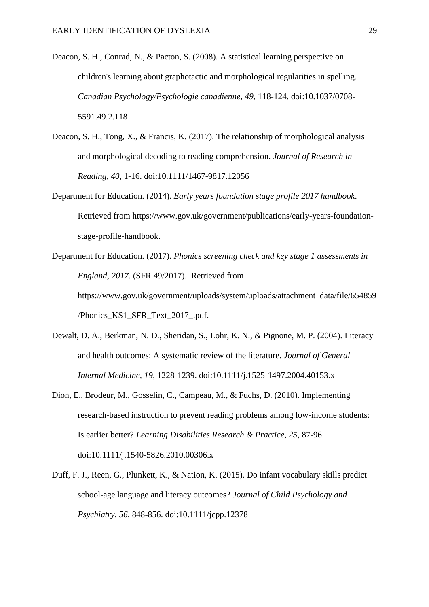- Deacon, S. H., Conrad, N., & Pacton, S. (2008). A statistical learning perspective on children's learning about graphotactic and morphological regularities in spelling. *Canadian Psychology/Psychologie canadienne, 49*, 118-124. doi:10.1037/0708- 5591.49.2.118
- Deacon, S. H., Tong, X., & Francis, K. (2017). The relationship of morphological analysis and morphological decoding to reading comprehension. *Journal of Research in Reading, 40*, 1-16. doi:10.1111/1467-9817.12056
- Department for Education. (2014). *Early years foundation stage profile 2017 handbook*. Retrieved from https://www.gov.uk/government/publications/early-years-foundationstage-profile-handbook.
- Department for Education. (2017). *Phonics screening check and key stage 1 assessments in England, 2017*. (SFR 49/2017). Retrieved from https://www.gov.uk/government/uploads/system/uploads/attachment\_data/file/654859 /Phonics\_KS1\_SFR\_Text\_2017\_.pdf.
- Dewalt, D. A., Berkman, N. D., Sheridan, S., Lohr, K. N., & Pignone, M. P. (2004). Literacy and health outcomes: A systematic review of the literature. *Journal of General Internal Medicine, 19*, 1228-1239. doi:10.1111/j.1525-1497.2004.40153.x
- Dion, E., Brodeur, M., Gosselin, C., Campeau, M., & Fuchs, D. (2010). Implementing research-based instruction to prevent reading problems among low-income students: Is earlier better? *Learning Disabilities Research & Practice, 25*, 87-96. doi:10.1111/j.1540-5826.2010.00306.x
- Duff, F. J., Reen, G., Plunkett, K., & Nation, K. (2015). Do infant vocabulary skills predict school-age language and literacy outcomes? *Journal of Child Psychology and Psychiatry, 56*, 848-856. doi:10.1111/jcpp.12378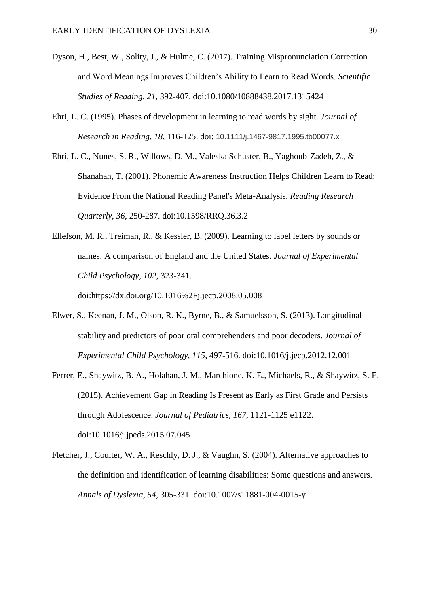- Dyson, H., Best, W., Solity, J., & Hulme, C. (2017). Training Mispronunciation Correction and Word Meanings Improves Children's Ability to Learn to Read Words. *Scientific Studies of Reading, 21*, 392-407. doi:10.1080/10888438.2017.1315424
- Ehri, L. C. (1995). Phases of development in learning to read words by sight. *Journal of Research in Reading, 18*, 116-125. doi: 10.1111/j.1467-9817.1995.tb00077.x
- Ehri, L. C., Nunes, S. R., Willows, D. M., Valeska Schuster, B., Yaghoub-Zadeh, Z., & Shanahan, T. (2001). Phonemic Awareness Instruction Helps Children Learn to Read: Evidence From the National Reading Panel's Meta-Analysis. *Reading Research Quarterly, 36*, 250-287. doi:10.1598/RRQ.36.3.2
- Ellefson, M. R., Treiman, R., & Kessler, B. (2009). Learning to label letters by sounds or names: A comparison of England and the United States. *Journal of Experimental Child Psychology, 102*, 323-341.

doi:https://dx.doi.org/10.1016%2Fj.jecp.2008.05.008

- Elwer, S., Keenan, J. M., Olson, R. K., Byrne, B., & Samuelsson, S. (2013). Longitudinal stability and predictors of poor oral comprehenders and poor decoders. *Journal of Experimental Child Psychology, 115*, 497-516. doi:10.1016/j.jecp.2012.12.001
- Ferrer, E., Shaywitz, B. A., Holahan, J. M., Marchione, K. E., Michaels, R., & Shaywitz, S. E. (2015). Achievement Gap in Reading Is Present as Early as First Grade and Persists through Adolescence. *Journal of Pediatrics, 167*, 1121-1125 e1122. doi:10.1016/j.jpeds.2015.07.045
- Fletcher, J., Coulter, W. A., Reschly, D. J., & Vaughn, S. (2004). Alternative approaches to the definition and identification of learning disabilities: Some questions and answers. *Annals of Dyslexia, 54*, 305-331. doi:10.1007/s11881-004-0015-y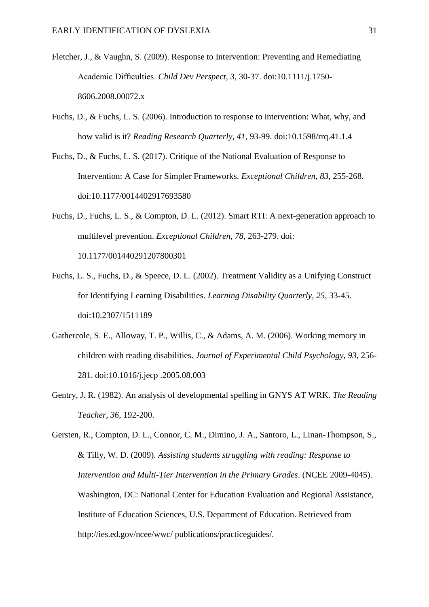- Fletcher, J., & Vaughn, S. (2009). Response to Intervention: Preventing and Remediating Academic Difficulties. *Child Dev Perspect, 3*, 30-37. doi:10.1111/j.1750- 8606.2008.00072.x
- Fuchs, D., & Fuchs, L. S. (2006). Introduction to response to intervention: What, why, and how valid is it? *Reading Research Quarterly, 41*, 93-99. doi:10.1598/rrq.41.1.4
- Fuchs, D., & Fuchs, L. S. (2017). Critique of the National Evaluation of Response to Intervention: A Case for Simpler Frameworks. *Exceptional Children, 83*, 255-268. doi:10.1177/0014402917693580
- Fuchs, D., Fuchs, L. S., & Compton, D. L. (2012). Smart RTI: A next-generation approach to multilevel prevention. *Exceptional Children, 78*, 263-279. doi: 10.1177/001440291207800301
- Fuchs, L. S., Fuchs, D., & Speece, D. L. (2002). Treatment Validity as a Unifying Construct for Identifying Learning Disabilities. *Learning Disability Quarterly, 25*, 33-45. doi:10.2307/1511189
- Gathercole, S. E., Alloway, T. P., Willis, C., & Adams, A. M. (2006). Working memory in children with reading disabilities. *Journal of Experimental Child Psychology, 93*, 256- 281. doi:10.1016/j.jecp .2005.08.003
- Gentry, J. R. (1982). An analysis of developmental spelling in GNYS AT WRK. *The Reading Teacher, 36*, 192-200.

Gersten, R., Compton, D. L., Connor, C. M., Dimino, J. A., Santoro, L., Linan-Thompson, S., & Tilly, W. D. (2009). *Assisting students struggling with reading: Response to Intervention and Multi-Tier Intervention in the Primary Grades*. (NCEE 2009-4045). Washington, DC: National Center for Education Evaluation and Regional Assistance, Institute of Education Sciences, U.S. Department of Education. Retrieved from http://ies.ed.gov/ncee/wwc/ publications/practiceguides/.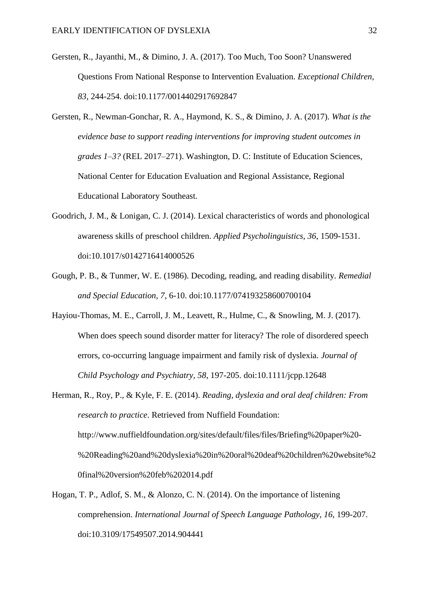- Gersten, R., Jayanthi, M., & Dimino, J. A. (2017). Too Much, Too Soon? Unanswered Questions From National Response to Intervention Evaluation. *Exceptional Children, 83*, 244-254. doi:10.1177/0014402917692847
- Gersten, R., Newman-Gonchar, R. A., Haymond, K. S., & Dimino, J. A. (2017). *What is the evidence base to support reading interventions for improving student outcomes in grades 1–3?* (REL 2017–271). Washington, D. C: Institute of Education Sciences, National Center for Education Evaluation and Regional Assistance, Regional Educational Laboratory Southeast.
- Goodrich, J. M., & Lonigan, C. J. (2014). Lexical characteristics of words and phonological awareness skills of preschool children. *Applied Psycholinguistics, 36*, 1509-1531. doi:10.1017/s0142716414000526
- Gough, P. B., & Tunmer, W. E. (1986). Decoding, reading, and reading disability. *Remedial and Special Education, 7*, 6-10. doi:10.1177/074193258600700104
- Hayiou-Thomas, M. E., Carroll, J. M., Leavett, R., Hulme, C., & Snowling, M. J. (2017). When does speech sound disorder matter for literacy? The role of disordered speech errors, co-occurring language impairment and family risk of dyslexia. *Journal of Child Psychology and Psychiatry, 58*, 197-205. doi:10.1111/jcpp.12648
- Herman, R., Roy, P., & Kyle, F. E. (2014). *Reading, dyslexia and oral deaf children: From research to practice*. Retrieved from Nuffield Foundation: http://www.nuffieldfoundation.org/sites/default/files/files/Briefing%20paper%20- %20Reading%20and%20dyslexia%20in%20oral%20deaf%20children%20website%2 0final%20version%20feb%202014.pdf
- Hogan, T. P., Adlof, S. M., & Alonzo, C. N. (2014). On the importance of listening comprehension. *International Journal of Speech Language Pathology, 16*, 199-207. doi:10.3109/17549507.2014.904441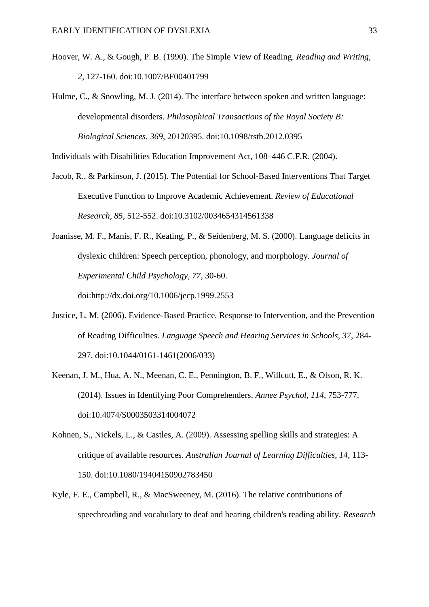- Hoover, W. A., & Gough, P. B. (1990). The Simple View of Reading. *Reading and Writing, 2*, 127-160. doi:10.1007/BF00401799
- Hulme, C., & Snowling, M. J. (2014). The interface between spoken and written language: developmental disorders. *Philosophical Transactions of the Royal Society B: Biological Sciences, 369*, 20120395. doi:10.1098/rstb.2012.0395

Individuals with Disabilities Education Improvement Act, 108–446 C.F.R. (2004).

Jacob, R., & Parkinson, J. (2015). The Potential for School-Based Interventions That Target Executive Function to Improve Academic Achievement. *Review of Educational Research, 85*, 512-552. doi:10.3102/0034654314561338

Joanisse, M. F., Manis, F. R., Keating, P., & Seidenberg, M. S. (2000). Language deficits in dyslexic children: Speech perception, phonology, and morphology. *Journal of Experimental Child Psychology, 77*, 30-60.

doi:http://dx.doi.org/10.1006/jecp.1999.2553

- Justice, L. M. (2006). Evidence-Based Practice, Response to Intervention, and the Prevention of Reading Difficulties. *Language Speech and Hearing Services in Schools, 37*, 284- 297. doi:10.1044/0161-1461(2006/033)
- Keenan, J. M., Hua, A. N., Meenan, C. E., Pennington, B. F., Willcutt, E., & Olson, R. K. (2014). Issues in Identifying Poor Comprehenders. *Annee Psychol, 114*, 753-777. doi:10.4074/S0003503314004072
- Kohnen, S., Nickels, L., & Castles, A. (2009). Assessing spelling skills and strategies: A critique of available resources. *Australian Journal of Learning Difficulties, 14*, 113- 150. doi:10.1080/19404150902783450
- Kyle, F. E., Campbell, R., & MacSweeney, M. (2016). The relative contributions of speechreading and vocabulary to deaf and hearing children's reading ability. *Research*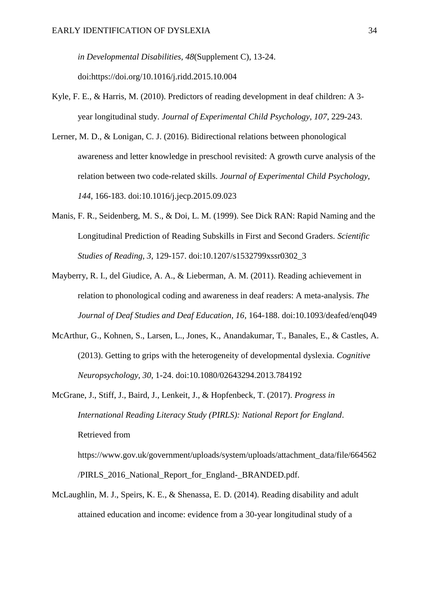*in Developmental Disabilities, 48*(Supplement C), 13-24. doi:https://doi.org/10.1016/j.ridd.2015.10.004

- Kyle, F. E., & Harris, M. (2010). Predictors of reading development in deaf children: A 3 year longitudinal study. *Journal of Experimental Child Psychology, 107*, 229-243.
- Lerner, M. D., & Lonigan, C. J. (2016). Bidirectional relations between phonological awareness and letter knowledge in preschool revisited: A growth curve analysis of the relation between two code-related skills. *Journal of Experimental Child Psychology, 144*, 166-183. doi:10.1016/j.jecp.2015.09.023
- Manis, F. R., Seidenberg, M. S., & Doi, L. M. (1999). See Dick RAN: Rapid Naming and the Longitudinal Prediction of Reading Subskills in First and Second Graders. *Scientific Studies of Reading, 3*, 129-157. doi:10.1207/s1532799xssr0302\_3
- Mayberry, R. I., del Giudice, A. A., & Lieberman, A. M. (2011). Reading achievement in relation to phonological coding and awareness in deaf readers: A meta-analysis. *The Journal of Deaf Studies and Deaf Education, 16*, 164-188. doi:10.1093/deafed/enq049
- McArthur, G., Kohnen, S., Larsen, L., Jones, K., Anandakumar, T., Banales, E., & Castles, A. (2013). Getting to grips with the heterogeneity of developmental dyslexia. *Cognitive Neuropsychology, 30*, 1-24. doi:10.1080/02643294.2013.784192
- McGrane, J., Stiff, J., Baird, J., Lenkeit, J., & Hopfenbeck, T. (2017). *Progress in International Reading Literacy Study (PIRLS): National Report for England*. Retrieved from

https://www.gov.uk/government/uploads/system/uploads/attachment\_data/file/664562 /PIRLS 2016 National Report for England- BRANDED.pdf.

McLaughlin, M. J., Speirs, K. E., & Shenassa, E. D. (2014). Reading disability and adult attained education and income: evidence from a 30-year longitudinal study of a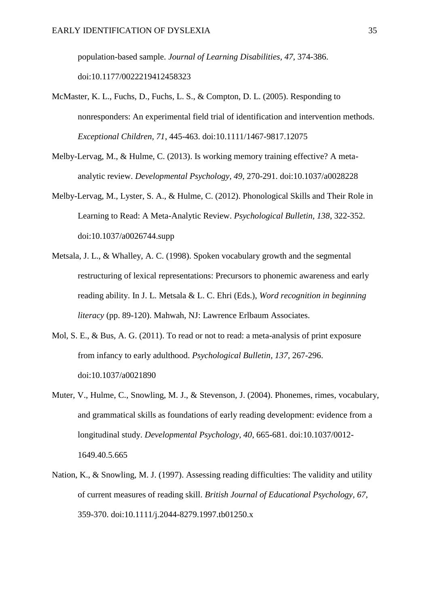population-based sample. *Journal of Learning Disabilities, 47*, 374-386. doi:10.1177/0022219412458323

- McMaster, K. L., Fuchs, D., Fuchs, L. S., & Compton, D. L. (2005). Responding to nonresponders: An experimental field trial of identification and intervention methods. *Exceptional Children, 71*, 445-463. doi:10.1111/1467-9817.12075
- Melby-Lervag, M., & Hulme, C. (2013). Is working memory training effective? A metaanalytic review. *Developmental Psychology, 49*, 270-291. doi:10.1037/a0028228
- Melby-Lervag, M., Lyster, S. A., & Hulme, C. (2012). Phonological Skills and Their Role in Learning to Read: A Meta-Analytic Review. *Psychological Bulletin, 138*, 322-352. doi:10.1037/a0026744.supp
- Metsala, J. L., & Whalley, A. C. (1998). Spoken vocabulary growth and the segmental restructuring of lexical representations: Precursors to phonemic awareness and early reading ability. In J. L. Metsala & L. C. Ehri (Eds.), *Word recognition in beginning literacy* (pp. 89-120). Mahwah, NJ: Lawrence Erlbaum Associates.
- Mol, S. E., & Bus, A. G. (2011). To read or not to read: a meta-analysis of print exposure from infancy to early adulthood. *Psychological Bulletin, 137*, 267-296. doi:10.1037/a0021890
- Muter, V., Hulme, C., Snowling, M. J., & Stevenson, J. (2004). Phonemes, rimes, vocabulary, and grammatical skills as foundations of early reading development: evidence from a longitudinal study. *Developmental Psychology, 40*, 665-681. doi:10.1037/0012- 1649.40.5.665
- Nation, K., & Snowling, M. J. (1997). Assessing reading difficulties: The validity and utility of current measures of reading skill. *British Journal of Educational Psychology, 67*, 359-370. doi:10.1111/j.2044-8279.1997.tb01250.x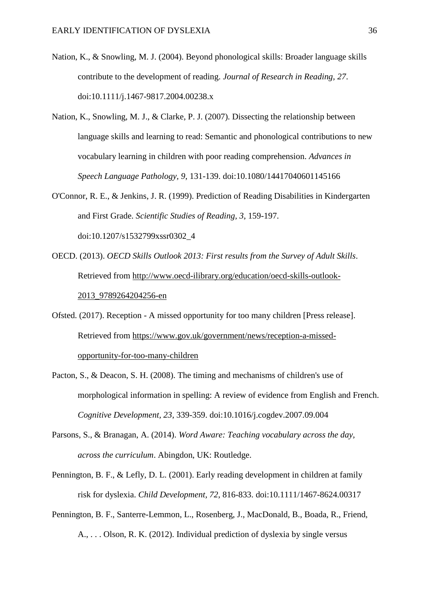- Nation, K., & Snowling, M. J. (2004). Beyond phonological skills: Broader language skills contribute to the development of reading. *Journal of Research in Reading, 27*. doi:10.1111/j.1467-9817.2004.00238.x
- Nation, K., Snowling, M. J., & Clarke, P. J. (2007). Dissecting the relationship between language skills and learning to read: Semantic and phonological contributions to new vocabulary learning in children with poor reading comprehension. *Advances in Speech Language Pathology, 9*, 131-139. doi:10.1080/14417040601145166
- O'Connor, R. E., & Jenkins, J. R. (1999). Prediction of Reading Disabilities in Kindergarten and First Grade. *Scientific Studies of Reading, 3*, 159-197. doi:10.1207/s1532799xssr0302\_4
- OECD. (2013). *OECD Skills Outlook 2013: First results from the Survey of Adult Skills*. Retrieved from http://www.oecd-ilibrary.org/education/oecd-skills-outlook-2013\_9789264204256-en
- Ofsted. (2017). Reception A missed opportunity for too many children [Press release]. Retrieved from https://www.gov.uk/government/news/reception-a-missedopportunity-for-too-many-children
- Pacton, S., & Deacon, S. H. (2008). The timing and mechanisms of children's use of morphological information in spelling: A review of evidence from English and French. *Cognitive Development, 23*, 339-359. doi:10.1016/j.cogdev.2007.09.004
- Parsons, S., & Branagan, A. (2014). *Word Aware: Teaching vocabulary across the day, across the curriculum*. Abingdon, UK: Routledge.
- Pennington, B. F., & Lefly, D. L. (2001). Early reading development in children at family risk for dyslexia. *Child Development, 72*, 816-833. doi:10.1111/1467-8624.00317
- Pennington, B. F., Santerre-Lemmon, L., Rosenberg, J., MacDonald, B., Boada, R., Friend, A., . . . Olson, R. K. (2012). Individual prediction of dyslexia by single versus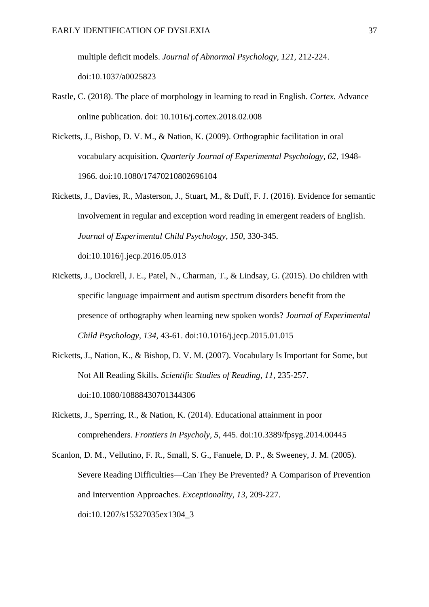multiple deficit models. *Journal of Abnormal Psychology, 121*, 212-224. doi:10.1037/a0025823

- Rastle, C. (2018). The place of morphology in learning to read in English. *Cortex*. Advance online publication. doi: 10.1016/j.cortex.2018.02.008
- Ricketts, J., Bishop, D. V. M., & Nation, K. (2009). Orthographic facilitation in oral vocabulary acquisition. *Quarterly Journal of Experimental Psychology, 62*, 1948- 1966. doi:10.1080/17470210802696104
- Ricketts, J., Davies, R., Masterson, J., Stuart, M., & Duff, F. J. (2016). Evidence for semantic involvement in regular and exception word reading in emergent readers of English. *Journal of Experimental Child Psychology, 150*, 330-345. doi:10.1016/j.jecp.2016.05.013
- Ricketts, J., Dockrell, J. E., Patel, N., Charman, T., & Lindsay, G. (2015). Do children with specific language impairment and autism spectrum disorders benefit from the presence of orthography when learning new spoken words? *Journal of Experimental Child Psychology, 134*, 43-61. doi:10.1016/j.jecp.2015.01.015
- Ricketts, J., Nation, K., & Bishop, D. V. M. (2007). Vocabulary Is Important for Some, but Not All Reading Skills. *Scientific Studies of Reading, 11*, 235-257. doi:10.1080/10888430701344306
- Ricketts, J., Sperring, R., & Nation, K. (2014). Educational attainment in poor comprehenders. *Frontiers in Psycholy, 5*, 445. doi:10.3389/fpsyg.2014.00445
- Scanlon, D. M., Vellutino, F. R., Small, S. G., Fanuele, D. P., & Sweeney, J. M. (2005). Severe Reading Difficulties—Can They Be Prevented? A Comparison of Prevention and Intervention Approaches. *Exceptionality, 13*, 209-227. doi:10.1207/s15327035ex1304\_3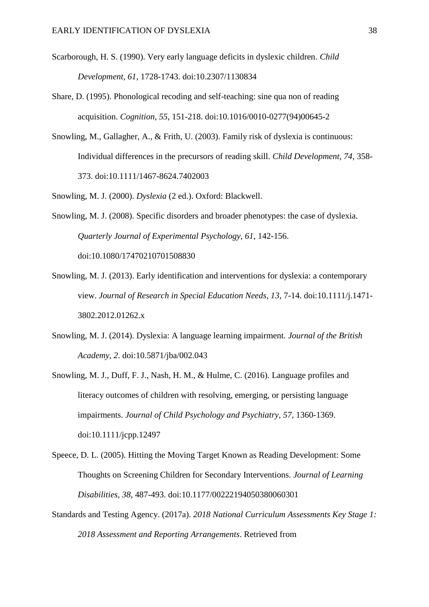- Scarborough, H. S. (1990). Very early language deficits in dyslexic children. *Child Development, 61*, 1728-1743. doi:10.2307/1130834
- Share, D. (1995). Phonological recoding and self-teaching: sine qua non of reading acquisition. *Cognition, 55*, 151-218. doi:10.1016/0010-0277(94)00645-2
- Snowling, M., Gallagher, A., & Frith, U. (2003). Family risk of dyslexia is continuous: Individual differences in the precursors of reading skill. *Child Development, 74*, 358- 373. doi:10.1111/1467-8624.7402003
- Snowling, M. J. (2000). *Dyslexia* (2 ed.). Oxford: Blackwell.
- Snowling, M. J. (2008). Specific disorders and broader phenotypes: the case of dyslexia. *Quarterly Journal of Experimental Psychology, 61*, 142-156. doi:10.1080/17470210701508830
- Snowling, M. J. (2013). Early identification and interventions for dyslexia: a contemporary view. *Journal of Research in Special Education Needs, 13*, 7-14. doi:10.1111/j.1471- 3802.2012.01262.x
- Snowling, M. J. (2014). Dyslexia: A language learning impairment. *Journal of the British Academy, 2*. doi:10.5871/jba/002.043
- Snowling, M. J., Duff, F. J., Nash, H. M., & Hulme, C. (2016). Language profiles and literacy outcomes of children with resolving, emerging, or persisting language impairments. *Journal of Child Psychology and Psychiatry, 57*, 1360-1369. doi:10.1111/jcpp.12497
- Speece, D. L. (2005). Hitting the Moving Target Known as Reading Development: Some Thoughts on Screening Children for Secondary Interventions. *Journal of Learning Disabilities, 38*, 487-493. doi:10.1177/00222194050380060301
- Standards and Testing Agency. (2017a). *2018 National Curriculum Assessments Key Stage 1: 2018 Assessment and Reporting Arrangements*. Retrieved from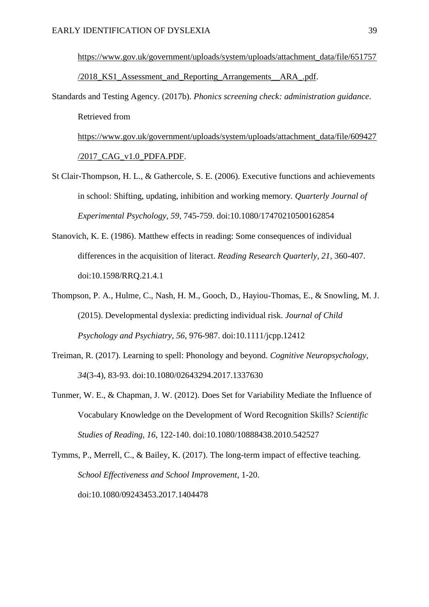https://www.gov.uk/government/uploads/system/uploads/attachment\_data/file/651757 /2018\_KS1\_Assessment\_and\_Reporting\_Arrangements\_\_ARA\_.pdf.

Standards and Testing Agency. (2017b). *Phonics screening check: administration guidance*. Retrieved from https://www.gov.uk/government/uploads/system/uploads/attachment\_data/file/609427

/2017\_CAG\_v1.0\_PDFA.PDF.

- St Clair-Thompson, H. L., & Gathercole, S. E. (2006). Executive functions and achievements in school: Shifting, updating, inhibition and working memory. *Quarterly Journal of Experimental Psychology, 59*, 745-759. doi:10.1080/17470210500162854
- Stanovich, K. E. (1986). Matthew effects in reading: Some consequences of individual differences in the acquisition of literact. *Reading Research Quarterly, 21*, 360-407. doi:10.1598/RRQ.21.4.1
- Thompson, P. A., Hulme, C., Nash, H. M., Gooch, D., Hayiou-Thomas, E., & Snowling, M. J. (2015). Developmental dyslexia: predicting individual risk. *Journal of Child Psychology and Psychiatry, 56*, 976-987. doi:10.1111/jcpp.12412
- Treiman, R. (2017). Learning to spell: Phonology and beyond. *Cognitive Neuropsychology, 34*(3-4), 83-93. doi:10.1080/02643294.2017.1337630
- Tunmer, W. E., & Chapman, J. W. (2012). Does Set for Variability Mediate the Influence of Vocabulary Knowledge on the Development of Word Recognition Skills? *Scientific Studies of Reading, 16*, 122-140. doi:10.1080/10888438.2010.542527

Tymms, P., Merrell, C., & Bailey, K. (2017). The long-term impact of effective teaching. *School Effectiveness and School Improvement*, 1-20. doi:10.1080/09243453.2017.1404478